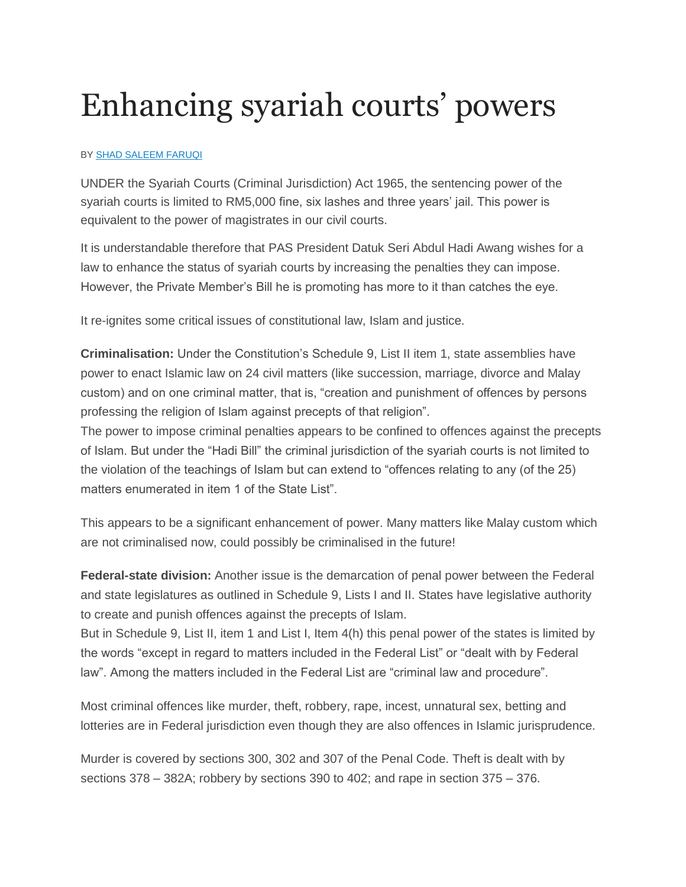## Enhancing syariah courts' powers

## BY SHAD [SALEEM](http://www.thestar.com.my/authors?q=%22Shad+Saleem+Faruqi%22) FARUQI

UNDER the Syariah Courts (Criminal Jurisdiction) Act 1965, the sentencing power of the syariah courts is limited to RM5,000 fine, six lashes and three years' jail. This power is equivalent to the power of magistrates in our civil courts.

It is understandable therefore that PAS President Datuk Seri Abdul Hadi Awang wishes for a law to enhance the status of syariah courts by increasing the penalties they can impose. However, the Private Member's Bill he is promoting has more to it than catches the eye.

It re-ignites some critical issues of constitutional law, Islam and justice.

**Criminalisation:** Under the Constitution's Schedule 9, List II item 1, state assemblies have power to enact Islamic law on 24 civil matters (like succession, marriage, divorce and Malay custom) and on one criminal matter, that is, "creation and punishment of offences by persons professing the religion of Islam against precepts of that religion".

The power to impose criminal penalties appears to be confined to offences against the precepts of Islam. But under the "Hadi Bill" the criminal jurisdiction of the syariah courts is not limited to the violation of the teachings of Islam but can extend to "offences relating to any (of the 25) matters enumerated in item 1 of the State List".

This appears to be a significant enhancement of power. Many matters like Malay custom which are not criminalised now, could possibly be criminalised in the future!

**Federal-state division:** Another issue is the demarcation of penal power between the Federal and state legislatures as outlined in Schedule 9, Lists I and II. States have legislative authority to create and punish offences against the precepts of Islam.

But in Schedule 9, List II, item 1 and List I, Item 4(h) this penal power of the states is limited by the words "except in regard to matters included in the Federal List" or "dealt with by Federal law". Among the matters included in the Federal List are "criminal law and procedure".

Most criminal offences like murder, theft, robbery, rape, incest, unnatural sex, betting and lotteries are in Federal jurisdiction even though they are also offences in Islamic jurisprudence.

Murder is covered by sections 300, 302 and 307 of the Penal Code. Theft is dealt with by sections 378 – 382A; robbery by sections 390 to 402; and rape in section 375 – 376.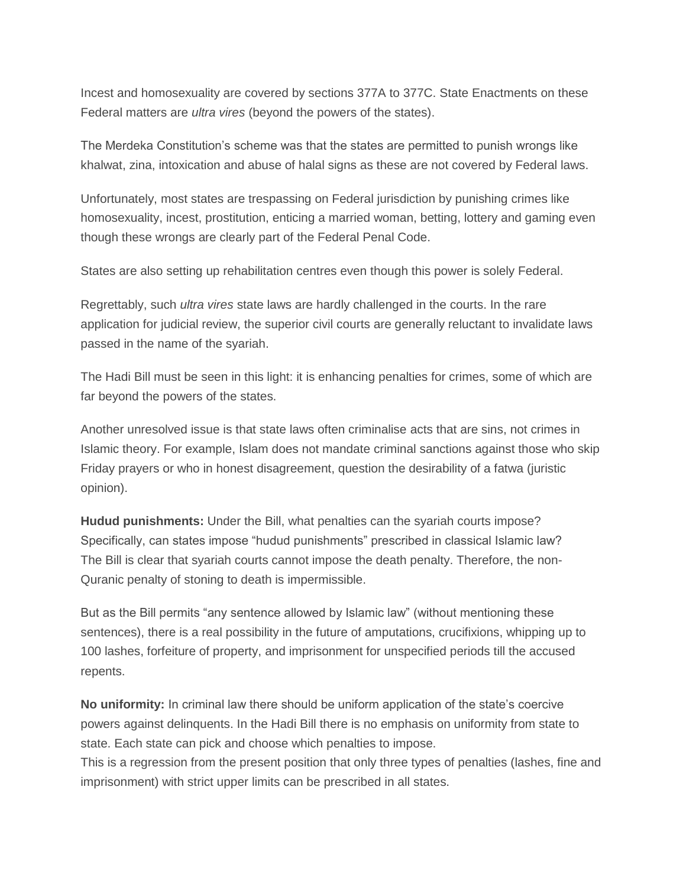Incest and homosexuality are covered by sections 377A to 377C. State Enactments on these Federal matters are *ultra vires* (beyond the powers of the states).

The Merdeka Constitution's scheme was that the states are permitted to punish wrongs like khalwat, zina, intoxication and abuse of halal signs as these are not covered by Federal laws.

Unfortunately, most states are trespassing on Federal jurisdiction by punishing crimes like homosexuality, incest, prostitution, enticing a married woman, betting, lottery and gaming even though these wrongs are clearly part of the Federal Penal Code.

States are also setting up rehabilitation centres even though this power is solely Federal.

Regrettably, such *ultra vires* state laws are hardly challenged in the courts. In the rare application for judicial review, the superior civil courts are generally reluctant to invalidate laws passed in the name of the syariah.

The Hadi Bill must be seen in this light: it is enhancing penalties for crimes, some of which are far beyond the powers of the states.

Another unresolved issue is that state laws often criminalise acts that are sins, not crimes in Islamic theory. For example, Islam does not mandate criminal sanctions against those who skip Friday prayers or who in honest disagreement, question the desirability of a fatwa (juristic opinion).

**Hudud punishments:** Under the Bill, what penalties can the syariah courts impose? Specifically, can states impose "hudud punishments" prescribed in classical Islamic law? The Bill is clear that syariah courts cannot impose the death penalty. Therefore, the non-Quranic penalty of stoning to death is impermissible.

But as the Bill permits "any sentence allowed by Islamic law" (without mentioning these sentences), there is a real possibility in the future of amputations, crucifixions, whipping up to 100 lashes, forfeiture of property, and imprisonment for unspecified periods till the accused repents.

**No uniformity:** In criminal law there should be uniform application of the state's coercive powers against delinquents. In the Hadi Bill there is no emphasis on uniformity from state to state. Each state can pick and choose which penalties to impose.

This is a regression from the present position that only three types of penalties (lashes, fine and imprisonment) with strict upper limits can be prescribed in all states.